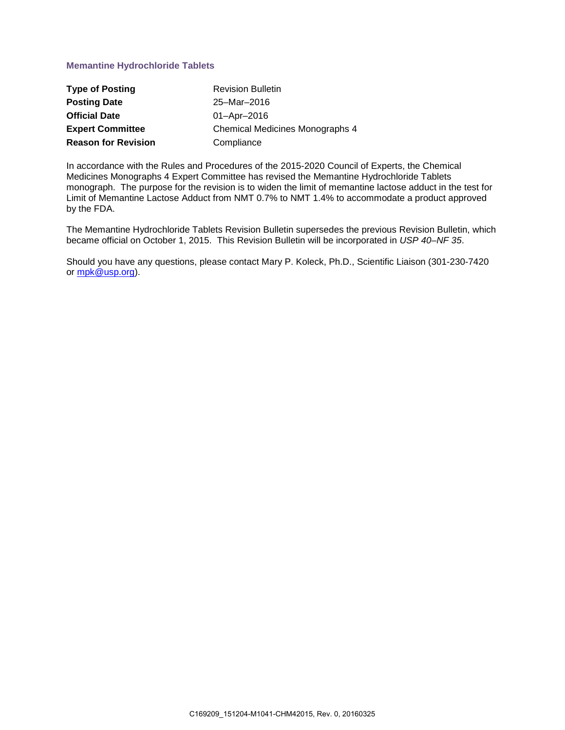# **Memantine Hydrochloride Tablets**

| <b>Type of Posting</b>     | <b>Revision Bulletin</b>               |
|----------------------------|----------------------------------------|
| <b>Posting Date</b>        | 25-Mar-2016                            |
| <b>Official Date</b>       | $01 -$ Apr $-2016$                     |
| <b>Expert Committee</b>    | <b>Chemical Medicines Monographs 4</b> |
| <b>Reason for Revision</b> | Compliance                             |

In accordance with the Rules and Procedures of the 2015-2020 Council of Experts, the Chemical Medicines Monographs 4 Expert Committee has revised the Memantine Hydrochloride Tablets monograph. The purpose for the revision is to widen the limit of memantine lactose adduct in the test for Limit of Memantine Lactose Adduct from NMT 0.7% to NMT 1.4% to accommodate a product approved by the FDA.

The Memantine Hydrochloride Tablets Revision Bulletin supersedes the previous Revision Bulletin, which became official on October 1, 2015. This Revision Bulletin will be incorporated in *USP 40–NF 35*.

Should you have any questions, please contact Mary P. Koleck, Ph.D., Scientific Liaison (301-230-7420 or [mpk@usp.org\)](mailto:mpk@usp.org).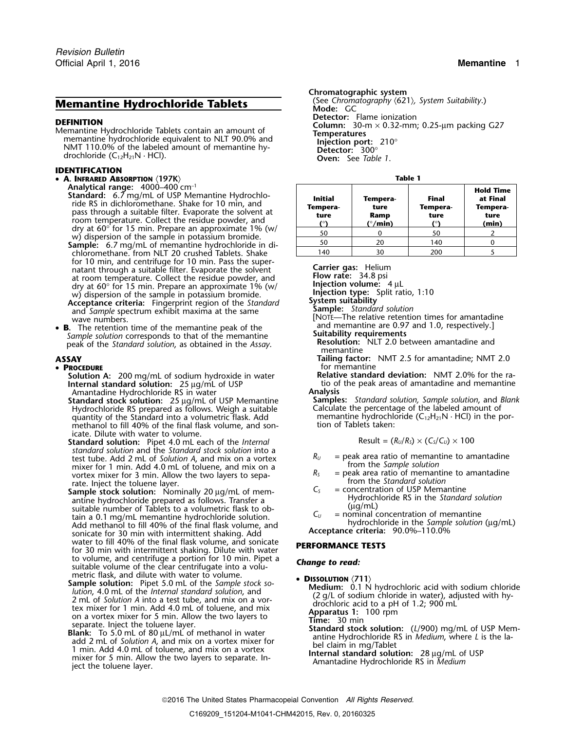# **Memantine Hydrochloride Tablets**

### **IDENTIFICATION**

- **A. INFRARED ABSORPTION** 〈**197K**〉 **Table 1**
	- Analytical range: 4000–400 cm<sup>-1</sup><br>Standard: 6.7 mg/mL of USP Memantine Hydrochloride RS in dichloromethane. Shake for 10 min, and<br>pass through a suitable filter. Evaporate the solvent at<br>room temperature. Collect the residue powder, and<br>dry at 60 $^{\circ}$  for 15 min. Prepare an approximate 1% (w/<br>w) dis chloromethane. from NLT 20 crushed Tablets. Shake for 10 min, and centrifuge for 10 min. Pass the supernatant through a suitable filter. Evaporate the solvent **Carrier gas:** Helium natant through a suitable filter. Evaporate the solvent **Carrier gas:** Helium at room temperature. Collect the residue powder, and **Flow rate:** at room temperature. Collect the residue powder, and **IFIOW rate:** 34.8 psi<br>dry at 60° for 15 min. Prepare an approximate 1% (w/ **Injection volume:** 4 μL<br>w) dispersion of the sample in potassium bromide. **Injection type:** w) dispersion of the sample in potassium bromide. **Injection type:**<br>**Acceptance criteria:** Fingerprint region of the *Standard* System suitability **Acceptance criteria: System suitability** Fingerprint region of the *Standard* **Sample:** *Standard solution* and *Sample* spectrum exhibit maxima at the same
- **B.** The retention time of the memantine peak of the and memantine are 0.97 and memantine are 0.97 and neural squirements Sample solution corresponds to that of the memantine<br>peak of the Standard solution, as obtained in the Assay.<br>memantine<br>memantine

### •

- **Solution A:** 200 mg/mL of sodium hydroxide in water **Relative standard deviation:** NMT 2.0% for the ra-<br>**Internal standard solution:** 25 µg/mL of USP **the ratio of the peak areas of amantadine and memantine Internal standard solution:** 25 µg/mL of USP the solutio of the peak areas of amantadine and memantine Amantadine Hydrochloride RS in water **Analysis**
- **Standard stock solution:**<sup>25</sup> <sup>µ</sup>g/mL of USP Memantine **Samples:** *Standard solution, Sample solution*, and *Blank* Hydrochloride RS prepared as follows. Weigh a suitable Calculate the percentage of the labeled amount of quantity of the Standard into a volumetric flask. Add memantine hydrochloride  $(C_{12}H_{21}N \cdot HC)$  in the porquantity of the Standard into a volumetric flask. Add memantine hydrochloride methanol to fill 40% of the final flask volume. and son-<br>methanol to fill 40% of the final flask volume. and sonmethanol to fill 40% of the final flask volume, and sonicate. Dilute with water to volume.
- **Standard solution:** Pipet 4.0 mL each of the *Internal* standard solution and the *Standard stock solution* into a *standard solution* and a *Standard stock solution A*, and mix on a vortex  $R_U =$  peak area ratio of memantine to amantadine test tube. Add 2 mL of *Solution A*, and mix on a *secure of the Sample solution* mixer for 1 min. Add 4.0 mL of toluene, and mix on a<br>vortex mixer for 3 min. Allow the two layers to sepa-<br> $R_s$  = peak area ratio of memantine to amantadine
- vortex mixer for 3 min. Allow the two layers to sepa-<br>rate. Inject the toluene layer.<br>**Sample stock solution:** Nominally 20 µg/mL of mem-<br>antine hydrochloride prepared as follows. Transfer a<br>suitable number of Tablets to Add methanol to fill 40% of the final flask volume, and<br>sonicate for 30 min with intermittent shaking. Add **Acceptance criteria:** 90.0%–110.0%<br>water to fill 40% of the final flask volume, and sonicate **DEDCODMANCE TESTS** water to fill 40% of the final flask volume, and sonicate **PERFORMANCE TESTS** for 30 min with intermittent shaking. Dilute with water to volume, and centrifuge a portion for 10 min. Pipet a *Change to read:* suitable volume of the clear centrifugate into a volumetric flask, and dilute with water to volume.<br>Sample solution:  $P_{\text{inst}}(5.0 \text{ m})$  of the Sample stack section
- **Sample solution:** Pipet 5.0 mL of the *Sample stock so*<br>
lution, 4.0 mL of the *Internal standard solution*, and<br>
2 mL of *Solution A* into a test tube, and mix on a vor-<br>
tex mixer for 1 min. Add 4.0 mL of toluene, and
- separate. Inject the toluene layer.<br> **Blank:** To 5.0 mL of 80  $\mu$ L/mL of methanol in water<br>
add 2 mL of Solution A, and mix on a vortex mixer for<br>
1 min. Add 4.0 mL of toluene, and mix on a vortex<br>
mixer for 5 min. Allow

**Chromatographic system**<br>(See Chromatography  $(621)$ , System Suitability.) **Mode:** GC **DEFINITION**<br> **DEFINITION**<br>
Memantine Hydrochloride Tablets contain an amount of<br>
memantine hydrochloride equivalent to NLT 90.0% and<br>
NMT 110.0% of the labeled amount of memantine hy-<br>
drochloride (C<sub>12</sub>H<sub>21</sub>N · HCl).<br>
dr

| <b>Initial</b><br>Tempera-<br>ture<br>'٥١ | Tempera-<br>ture<br>Ramp<br>( $^{\circ}/$ min) | Final<br>Tempera-<br>ture<br>۰ο۱ | <b>Hold Time</b><br>at Final<br>Tempera-<br>ture<br>(min) |
|-------------------------------------------|------------------------------------------------|----------------------------------|-----------------------------------------------------------|
| 50                                        |                                                | 50                               |                                                           |
| 50                                        | 20                                             | 140                              |                                                           |
| 140                                       | 30                                             | 200                              |                                                           |

wave numbers. The relative retention times for amantadine<br>Wave numbers. [NOTE—The relative retention times for amantadine<br>The retention time of the memantine peak of the and memantine are 0.97 and 1.0, respectively.]

**ASSAY Tailing factor:** NMT 2.5 for amantadine; NMT 2.0 **PROCEDURE** *PROCEDURE CONSUMPRISE <b>PROCEDURE CONSUMPRISE <b>FOR A FOR A FOR A FOR A FOR A FOR A FOR A FOR A FOR A FOR A FOR A FOR A FOR A FOR A FOR A FOR A FOR A FOR A FOR A FO* 

$$
Result = (R_U/R_S) \times (C_S/C_U) \times 100
$$

- 
- 
- 
-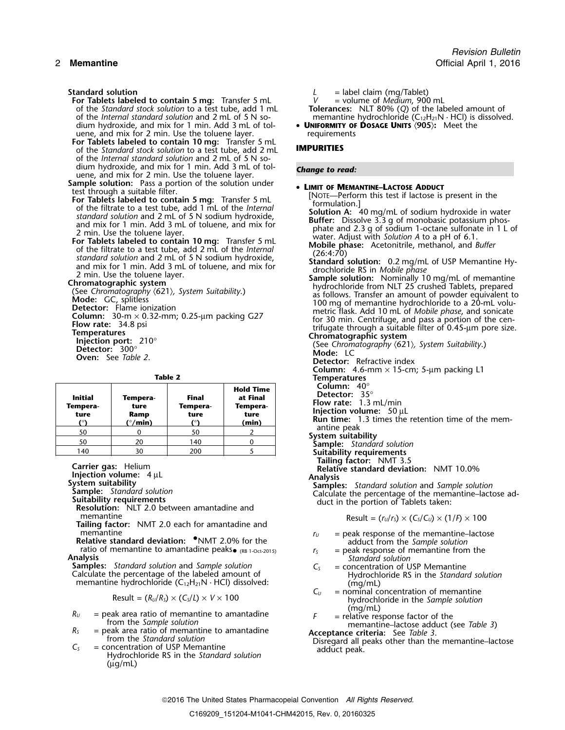- For Tablets labeled to contain 5 mg: Transfer 5 mL of the *Standard stock solution* to a test tube, add 1 mL dium hydroxide, and mix for 1 min. Add 3 mL of tol-<br>umerican and mix for 1 min. Add 3 mL of tol-<br>uene, and mix for 2 min. Use the toluene layer. uene, and mix for 2 min. Use the toluene layer.
- **For Tablets labeled to contain 10 mg:** Transfer 5 mL of the *Standard stock solution* to a test tube, add 2 mL **IMPURITIES** of the *Internal standard solution* and 2 mL of 5 N sodium hydroxide, and mix for 1 min. Add 3 mL of tol- *Change to read:* uene, and mix for 2 min. Use the toluene layer.
- **Sample solution:** Pass a portion of the solution under<br>test through a suitable filter.
- 
- 

| Table |  |
|-------|--|

| <b>Initial</b><br>Tempera-<br>ture<br>70 | Tempera-<br>ture<br>Ramp<br>$(^{\circ}/\text{min})$ | Final<br>Tempera-<br>ture | <b>Hold Time</b><br>at Final<br>Tempera-<br>ture<br>(min) | Column: $40^\circ$<br><b>Detector:</b> $35^\circ$<br>Flow rate: $1.3$ mL/min<br>Injection volume: $50 \mu L$<br><b>Run time:</b> 1.3 times the retention time of the mem- |
|------------------------------------------|-----------------------------------------------------|---------------------------|-----------------------------------------------------------|---------------------------------------------------------------------------------------------------------------------------------------------------------------------------|
| 50                                       |                                                     | 50                        |                                                           | antine peak<br>System suitability                                                                                                                                         |
| 50                                       | 20                                                  | 140                       |                                                           | <b>Sample:</b> Standard solution                                                                                                                                          |
| 140                                      | 30                                                  | 200                       |                                                           | Suitability requirements                                                                                                                                                  |

**Tailing factor:** NMT 2.0 each for amantadine and

**r** = peak response of the memantine–lactose<br> **Relative standard deviation:** •NMT 2.0% for the and *ratio* adduct from the *Sample solution*<br>
r<sub>S</sub> = peak response of memantine from the<br> **Analysis**<br> **Standard solution** ratio of memantine to amantadine peaks  $\bullet$  (RB 1-Oct-2015)  $\bullet$  *r<sub>S</sub>* = peak response of memantine from **alysis** *Standard solution*<br>**alysis** *Standard solution* and *Sample solution*  $C_S$  = concentration of USP Memanti

**Samples:** *Standard solution* and *Sample solution*  $C_5$ Calculate the percentage of the labeled amount of **Hydrochloride RS** in the *Standard solution* memantine hydrochloride (C<sub>12</sub>H<sub>21</sub>N · HCl) dissolved: ( $C_{U}$  = nominal controllering members)

$$
Result = (R_U/R_S) \times (C_S/L) \times V \times 100
$$

- 
- 
- $(\mu g/mL)$
- **Standard solution** *L* = label claim (mg/Tablet)
	-
	- of the *Standard stock solution* to a test tube, add 1 mL **Tolerances:** NLT 80% (*Q*) of the labeled amount of
	- of the *Internal standard standard solution* and  $(C_{12}H_{21}N \cdot HC)$  is dissolved.<br>
	 **UNIFORMITY OF DOSAGE UNITS**  $(905)$ : Meet the

State through a suitable filer.<br>
Exterimental State and The Interior Mean and School and The Interior Theorem is the filerator of the filtrate to a test the and solution and 2 m of SN solution A: 40 mg/mL of solution A: 40 **Detector:** Refractive index<br>**Column:** 4.6-mm × 15-cm; 5-µm packing L1 **Temperatures**<br>**Column:** 40° **Suitability requirements<br>Tailing factor: NMT 3.5** Carrier gas: Helium<br>
Injection volume: 4 μL<br>
System suitability<br>
System suitability<br>
System suitability<br>
Sample: Standard solution<br>
Sample: Standard solution<br>
Samples: Standard solution and Sample solution<br>
Calculate the memantine  $\qquad \qquad \text{Result} = (r_U/r_S) \times (C_S/C_U) \times (1/P) \times 100$ 

- 
- 
- $=$  nominal concentration of memantine Result = (*RU*/*RS*) × (*CS*/*L*) <sup>×</sup> *<sup>V</sup>* <sup>×</sup><sup>100</sup> hydrochloride in the *Sample solution*
- 

 $R_0$  = peak area ratio of memantine to amantadine<br>
from the *Sample solution*<br>  $R_5$  = peak area ratio of memantine to amantadine<br>
from the *Standard solution*<br>  $C_5$  = concentration of USP Memantine<br>
Hydrochloride RS in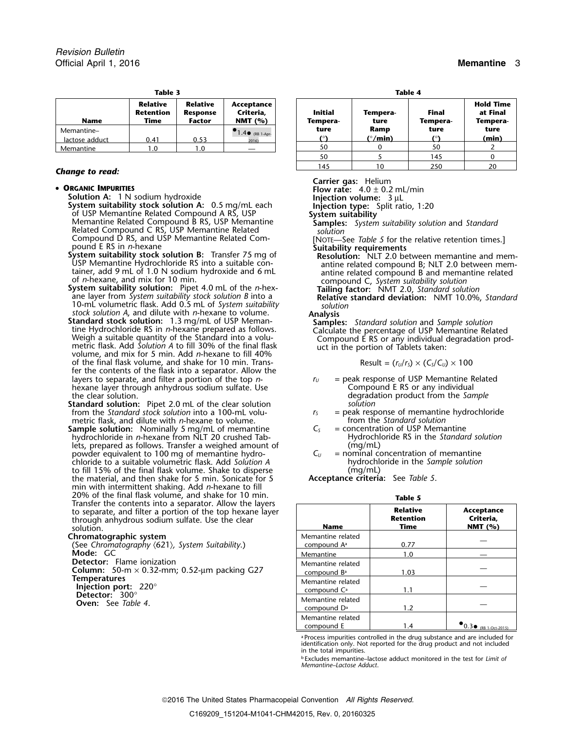| Table 3        |                                      |                                                     |                                      |  | Table 4                    |                         |                          |                                      |
|----------------|--------------------------------------|-----------------------------------------------------|--------------------------------------|--|----------------------------|-------------------------|--------------------------|--------------------------------------|
| <b>Name</b>    | <b>Relative</b><br>Retention<br>Time | <b>Relative</b><br><b>Response</b><br><b>Factor</b> | Acceptance<br>Criteria.<br>NMT $(%)$ |  | <b>Initial</b><br>Tempera- | Tempera-<br>ture        | <b>Final</b><br>Tempera- | <b>Hold Tir</b><br>at Fina<br>Temper |
| Memantine-     |                                      |                                                     | $1.4 \bullet$ (RB 1-Apr-             |  | ture                       | Ramp                    | ture                     | ture                                 |
| lactose adduct | 0.41                                 | 0.53                                                | 2016)                                |  |                            | $(^{\circ}/\text{min})$ | $\sim$                   | (min)                                |
| Memantine      | 0. ا                                 | 1.0                                                 |                                      |  | 50                         |                         | 50                       |                                      |

# **Change to read:**

### • ORGANIC IMPURITIES

- **ORGANIC IMPURITIES**<br> **Solution A:** 1 N sodium hydroxide<br> **System suitability stock solution A:** 0.5 mg/mL\_each **Injection volume:** 3 µL<br> **Injection type:** Split ratio, 1:20 of USP Memantine Related Compound A RS, USP<br>Memantine Related Compound B RS, USP Memantine<br>Related Compound C RS, USP Memantine Related<br>Related Compound C RS, USP Memantine Related<br>solution Related Compound C RS, USP Memantine Related Compound D RS, and USP Memantine Related Com-<br>
pound E RS in *n*-hexane **EXEC MENT Are assumed Suitability requirements** Suitably requirements
- pound E RS in *n*-hexane<br>**System suitability stock solution B:** Transfer 75 mg of **Resolution:** NLT 2.0 between memantine and mem-<br>USP Memantine Hydrochloride RS into a suitable con- antine related compound B; NLT 2.0 betw
- ane layer from *System suitability stock solution B* into a **Relative standard deviation:** NMT 10.0%, *Standard* 10-mL volumetric flask. Add 0.5 mL of *System suitability solution*
- stock solution A, and dilute with *n*-hexane to volume.<br> **Analysis**<br> **Standard solution:** 1.3 mg/mL of USP Meman-<br>
tine Hydrochloride RS in *n*-hexane prepared as follows.<br>
Weigh a suitable quantity of the Standard into a of the final flask volume, and shake for 10 min. Transfer the contents of the flask into a separator. Allow the layers to separate, and filter a portion of the top *n*-<br>hexane layer through anhydrous sodium sulfate. Use *ru* Compound E RS or any individual hexane layer through anhydrous sodium sulfate. Use the clear solution.
- **Standard solution:** Pipet 2.0 mL of the clear solution *solution solution solution* **solution solution solution solution solution solution solution s s s e peak** response of memantine hydrochlori from the *Standard stock solution* into a 100-mL volu-<br>metric flask, and dilute with *n*-hexane to volume. *r*<sub>S</sub> and hydrochloride hydrochloride hydrochloride hydrochloride hydrochloride hydrochloride hydrochloride hydroc metric flask, and dilute with *n*-hexane to volume.<br>**From the** *Standard solution*: Nominally 5 mg/mL of memantine  $C_5$  = concentration of USP Memantine
- **Sample solution:** Nominally 5 mg/mL of memantine  $C_s$  = concentration of USP Memantine<br>hydrochloride in *n*-hexane from NLT 20 crushed Tab-<br>Hydrochloride RS in the Standard solution hydrochloride in *n*-hexane from NLT 20 crushed Tab- **Hydrochloride Resolution**<br>lets, prepared as follows. Transfer a weighed amount of *(mg/mL)* lets, prepared as follows. Transfer a weighed amount of  $\log_{10}$  (mg/mL)<br>powder equivalent to 100 mg of memantine hydro-<br> $C_U$  = nominal concentration of memantine powder equivalent to 100 mg of memantine hydro-<br>
chloride to a suitable volumetric flask. Add Solution A bydrochloride in the Sample solution chloride to a suitable volumetric flask. Add *Solution A* hydrochloride in the final flask volume. Shake to disperse (mg/mL) to fill 15% of the final flask volume. Shake to disperse (mg/mL)<br>the material, and then shake for 5 min. Sonicate for 5 **Acceptance criteria**: See Table 5. the material, and then shake for 5 min. Sonicate for 5. min with intermittent shaking. Add *n*-hexane to fill Zo of the final flask volume, and shake for 10 min.<br>
Transfer the contents into a separator. Allow the layers<br>
to separator a portion of the top hexane layer<br>
through anhydrous sodium sulfate. Use the clear<br>
solution.

## **Chromatographic system**

(See Chromatography  $(621)$ , *System Suitability*.) **Mode:** GC **Detector:** Flame ionization Column: 50-m × 0.32-mm; 0.52-µm packing G27<br>Temperatures **Temperatures**<br> **Injection port:** 220°<br> **Detector:** 300°<br> **Oven:** See *Table 4*. — compound C<sup>a</sup> 1.1 — compound C<sup>a</sup> 1.1 — compound C<sup>a</sup> 1.1 — compound C<sup>a</sup> 1.1 — compound C<sup>a</sup>

| z | 1<br>ı<br>π |  |
|---|-------------|--|
|   |             |  |

| Name               | <b>Relative</b><br>Retention<br>Time | <b>Relative</b><br><b>Response</b><br><b>Factor</b> | Acceptance<br>Criteria,<br>NMT $(%)$ | <b>Initial</b><br>Tempera- | Tempera-<br>ture           | <b>Final</b><br>Tempera- | <b>Hold Time</b><br>at Final<br>Tempera- |
|--------------------|--------------------------------------|-----------------------------------------------------|--------------------------------------|----------------------------|----------------------------|--------------------------|------------------------------------------|
| itine–<br>e adduct | 0.41                                 | 0.53                                                | $1.4 \bullet$ (RB 1-Apr-<br>2016)    | ture                       | Ramp<br>( $^{\circ}/$ min) | ture                     | ture<br>(min)                            |
| ıtine              | 0. ا                                 | 1.0                                                 |                                      | 50                         |                            | 50                       |                                          |
|                    |                                      |                                                     |                                      | 50                         |                            | 145                      |                                          |
|                    |                                      |                                                     |                                      | 145                        | 10                         | 250                      |                                          |

**Carrier gas:** Helium

USP Memantine Hydrochloride RS into a suitable con-<br>tainer, add 9 mL of 1.0 N sodium hydroxide and 6 mL<br>of *n*-hexane, and mix for 10 min.<br>System suitability solution: Pipet 4.0 mL of the *n*-hex-<br>ane layer from *System s* 

- degradation product from the *Sample*<br>solution
- 
- 
- 

| <b>Name</b>                                  | <b>Relative</b><br><b>Retention</b><br>Time | Acceptance<br>Criteria.<br>NMT $(% )$ |
|----------------------------------------------|---------------------------------------------|---------------------------------------|
| Memantine related<br>compound A <sup>a</sup> | 0.77                                        |                                       |
| Memantine                                    | 1.0                                         |                                       |
| Memantine related<br>compound B <sup>a</sup> | 1.03                                        |                                       |
| Memantine related<br>compound $C^a$          | 1.1                                         |                                       |
| Memantine related<br>compound D <sup>a</sup> | 1.2                                         |                                       |
| Memantine related<br>compound E              | 1.4                                         | $(RB 1-Ort-2015)$                     |

a Process impurities controlled in the drug substance and are included for identification only. Not reported for the drug product and not included in the total impurities.

b .Excludes memantine–lactose adduct monitored in the test for *Limit of Memantine–Lactose Adduct*.

2016 The United States Pharmacopeial Convention *All Rights Reserved.* C169209\_151204-M1041-CHM42015, Rev. 0, 20160325